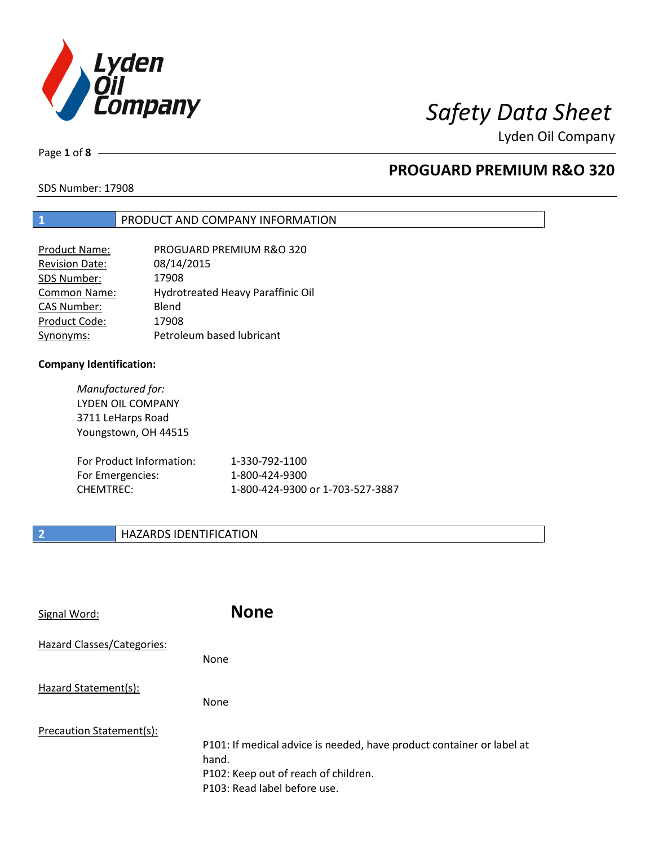

Lyden Oil Company

Page **1** of **8**

### **PROGUARD PREMIUM R&O 320**

SDS Number: 17908

#### **1** PRODUCT AND COMPANY INFORMATION

| Product Name:         | PROGUARD PREMIUM R&O 320          |
|-----------------------|-----------------------------------|
| <b>Revision Date:</b> | 08/14/2015                        |
| SDS Number:           | 17908                             |
| Common Name:          | Hydrotreated Heavy Paraffinic Oil |
| <b>CAS Number:</b>    | Blend                             |
| Product Code:         | 17908                             |
| Synonyms:             | Petroleum based lubricant         |

#### **Company Identification:**

*Manufactured for:*  LYDEN OIL COMPANY 3711 LeHarps Road Youngstown, OH 44515

| For Product Information: | 1-330-792-1100                   |
|--------------------------|----------------------------------|
| For Emergencies:         | 1-800-424-9300                   |
| CHEMTREC:                | 1-800-424-9300 or 1-703-527-3887 |

#### **2 HAZARDS IDENTIFICATION**

| Signal Word:               | <b>None</b>                                                                                                                                            |
|----------------------------|--------------------------------------------------------------------------------------------------------------------------------------------------------|
| Hazard Classes/Categories: | None                                                                                                                                                   |
| Hazard Statement(s):       | None                                                                                                                                                   |
| Precaution Statement(s):   | P101: If medical advice is needed, have product container or label at<br>hand.<br>P102: Keep out of reach of children.<br>P103: Read label before use. |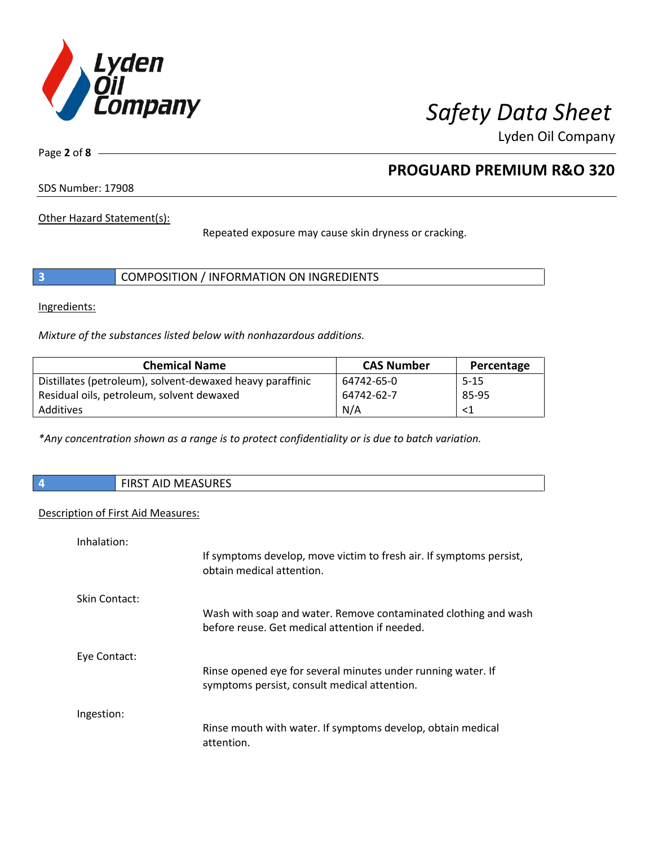

Lyden Oil Company

Page **2** of **8**

### **PROGUARD PREMIUM R&O 320**

SDS Number: 17908

Other Hazard Statement(s):

Repeated exposure may cause skin dryness or cracking.

|  |  | COMPOSITION / INFORMATION ON INGREDIENTS |
|--|--|------------------------------------------|
|--|--|------------------------------------------|

Ingredients:

*Mixture of the substances listed below with nonhazardous additions.* 

| <b>Chemical Name</b>                                      | <b>CAS Number</b> | Percentage |
|-----------------------------------------------------------|-------------------|------------|
| Distillates (petroleum), solvent-dewaxed heavy paraffinic | 64742-65-0        | 5-15       |
| Residual oils, petroleum, solvent dewaxed                 | 64742-62-7        | 85-95      |
| Additives                                                 | N/A               | <1         |

*\*Any concentration shown as a range is to protect confidentiality or is due to batch variation.*

|  |  | <b>FIRST AID MEASURES</b> |
|--|--|---------------------------|
|--|--|---------------------------|

#### Description of First Aid Measures:

| Inhalation:   |                                                                                                                   |
|---------------|-------------------------------------------------------------------------------------------------------------------|
|               | If symptoms develop, move victim to fresh air. If symptoms persist,<br>obtain medical attention.                  |
| Skin Contact: |                                                                                                                   |
|               | Wash with soap and water. Remove contaminated clothing and wash<br>before reuse. Get medical attention if needed. |
| Eye Contact:  |                                                                                                                   |
|               | Rinse opened eye for several minutes under running water. If<br>symptoms persist, consult medical attention.      |
| Ingestion:    |                                                                                                                   |
|               | Rinse mouth with water. If symptoms develop, obtain medical<br>attention.                                         |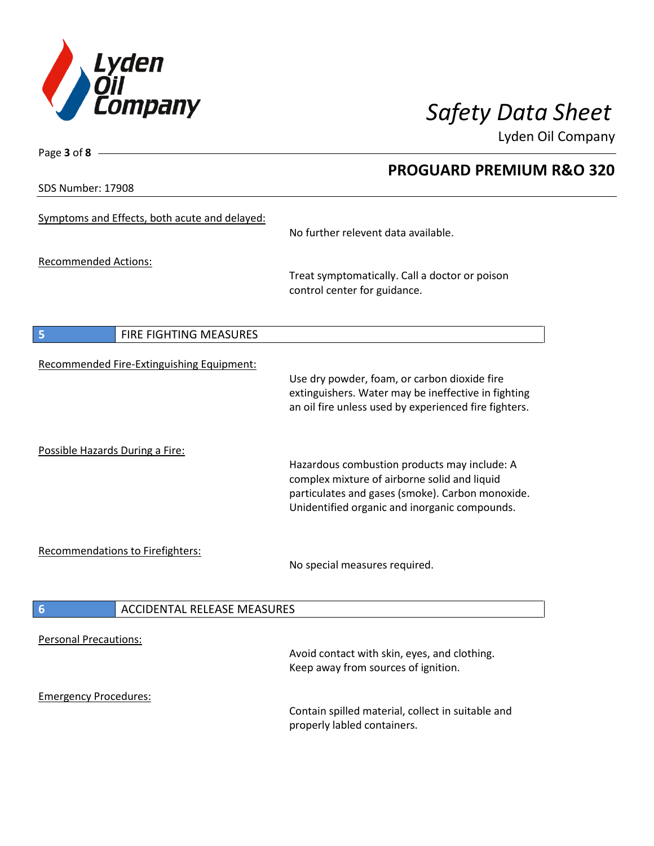

**PROGUARD PREMIUM R&O 320** 

Lyden Oil Company

SDS Number: 17908

Page **3** of **8**

| Symptoms and Effects, both acute and delayed: | No further relevent data available.                                                                                                                                                               |
|-----------------------------------------------|---------------------------------------------------------------------------------------------------------------------------------------------------------------------------------------------------|
| <b>Recommended Actions:</b>                   | Treat symptomatically. Call a doctor or poison<br>control center for guidance.                                                                                                                    |
| FIRE FIGHTING MEASURES<br>5                   |                                                                                                                                                                                                   |
| Recommended Fire-Extinguishing Equipment:     | Use dry powder, foam, or carbon dioxide fire<br>extinguishers. Water may be ineffective in fighting<br>an oil fire unless used by experienced fire fighters.                                      |
| Possible Hazards During a Fire:               | Hazardous combustion products may include: A<br>complex mixture of airborne solid and liquid<br>particulates and gases (smoke). Carbon monoxide.<br>Unidentified organic and inorganic compounds. |
| <b>Recommendations to Firefighters:</b>       | No special measures required.                                                                                                                                                                     |
| 6<br><b>ACCIDENTAL RELEASE MEASURES</b>       |                                                                                                                                                                                                   |
| <b>Personal Precautions:</b>                  | Avoid contact with skin, eyes, and clothing.<br>Keep away from sources of ignition.                                                                                                               |
| <b>Emergency Procedures:</b>                  | Contain spilled material, collect in suitable and<br>properly labled containers.                                                                                                                  |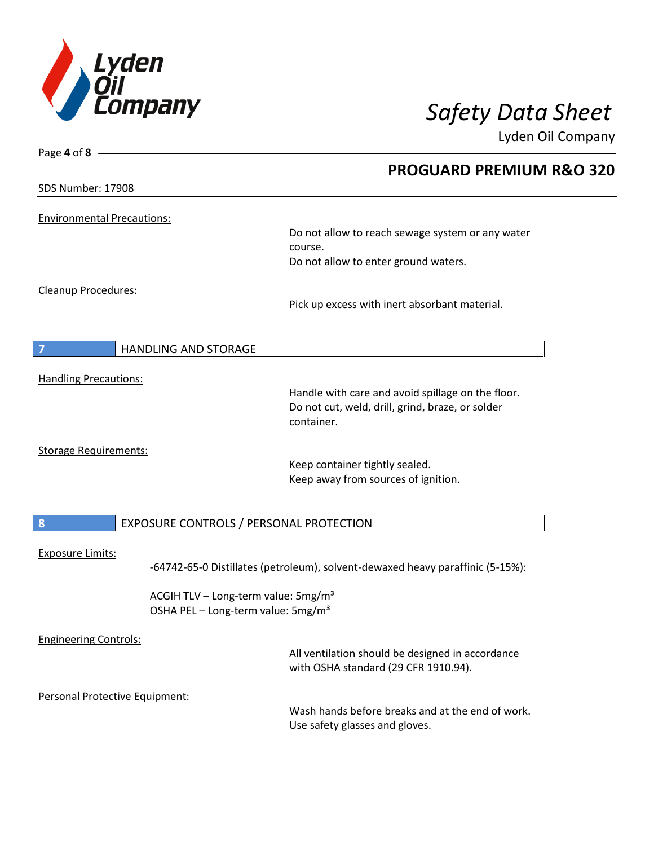

Page **4** of **8**

# *Safety Data Sheet*

Lyden Oil Company

|                                   |                                                 | <b>PROGUARD PREMIUM R&amp;O 320</b>                                                |  |
|-----------------------------------|-------------------------------------------------|------------------------------------------------------------------------------------|--|
| SDS Number: 17908                 |                                                 |                                                                                    |  |
| <b>Environmental Precautions:</b> |                                                 |                                                                                    |  |
|                                   |                                                 | Do not allow to reach sewage system or any water<br>course.                        |  |
|                                   |                                                 | Do not allow to enter ground waters.                                               |  |
| Cleanup Procedures:               |                                                 |                                                                                    |  |
|                                   |                                                 | Pick up excess with inert absorbant material.                                      |  |
|                                   |                                                 |                                                                                    |  |
|                                   | <b>HANDLING AND STORAGE</b>                     |                                                                                    |  |
| <b>Handling Precautions:</b>      |                                                 |                                                                                    |  |
|                                   |                                                 | Handle with care and avoid spillage on the floor.                                  |  |
|                                   |                                                 | Do not cut, weld, drill, grind, braze, or solder<br>container.                     |  |
|                                   |                                                 |                                                                                    |  |
| <b>Storage Requirements:</b>      |                                                 |                                                                                    |  |
|                                   |                                                 | Keep container tightly sealed.<br>Keep away from sources of ignition.              |  |
|                                   |                                                 |                                                                                    |  |
| 8                                 | EXPOSURE CONTROLS / PERSONAL PROTECTION         |                                                                                    |  |
|                                   |                                                 |                                                                                    |  |
| <b>Exposure Limits:</b>           |                                                 | -64742-65-0 Distillates (petroleum), solvent-dewaxed heavy paraffinic (5-15%):     |  |
|                                   | ACGIH TLV - Long-term value: 5mg/m <sup>3</sup> |                                                                                    |  |
|                                   | OSHA PEL - Long-term value: 5mg/m <sup>3</sup>  |                                                                                    |  |
| <b>Engineering Controls:</b>      |                                                 |                                                                                    |  |
|                                   |                                                 | All ventilation should be designed in accordance                                   |  |
|                                   |                                                 | with OSHA standard (29 CFR 1910.94).                                               |  |
|                                   | Personal Protective Equipment:                  |                                                                                    |  |
|                                   |                                                 | Wash hands before breaks and at the end of work.<br>Use safety glasses and gloves. |  |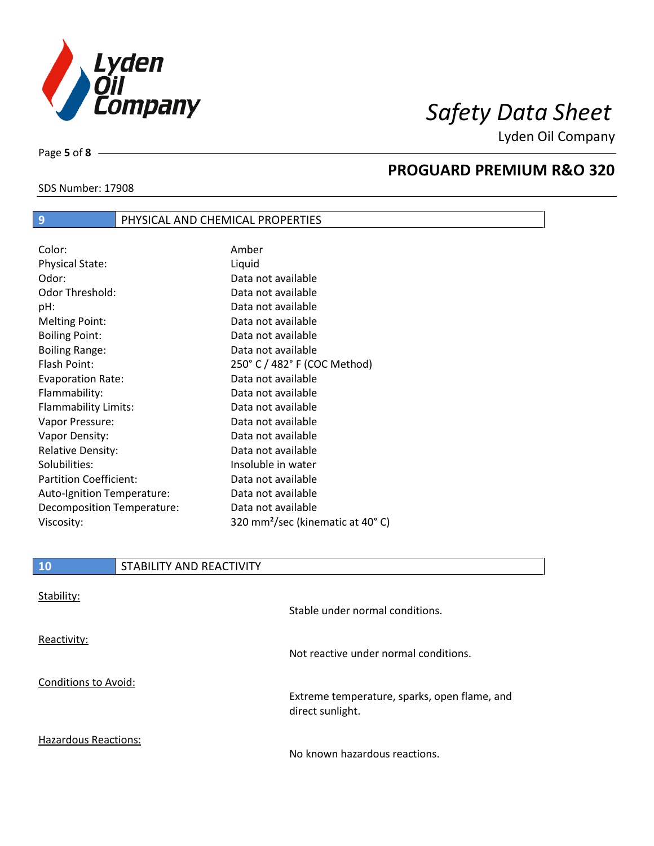

Lyden Oil Company

SDS Number: 17908

Page **5** of **8**

#### **PROGUARD PREMIUM R&O 320**

| Color:                        | Amber                                        |
|-------------------------------|----------------------------------------------|
| <b>Physical State:</b>        | Liquid                                       |
| Odor:                         | Data not available                           |
| Odor Threshold:               | Data not available                           |
| pH:                           | Data not available                           |
| <b>Melting Point:</b>         | Data not available                           |
| <b>Boiling Point:</b>         | Data not available                           |
| <b>Boiling Range:</b>         | Data not available                           |
| Flash Point:                  | 250° C / 482° F (COC Method)                 |
| <b>Evaporation Rate:</b>      | Data not available                           |
| Flammability:                 | Data not available                           |
| Flammability Limits:          | Data not available                           |
| Vapor Pressure:               | Data not available                           |
| Vapor Density:                | Data not available                           |
| <b>Relative Density:</b>      | Data not available                           |
| Solubilities:                 | Insoluble in water                           |
| <b>Partition Coefficient:</b> | Data not available                           |
| Auto-Ignition Temperature:    | Data not available                           |
| Decomposition Temperature:    | Data not available                           |
| Viscosity:                    | 320 mm <sup>2</sup> /sec (kinematic at 40°C) |

**9** PHYSICAL AND CHEMICAL PROPERTIES

| 10                   | STABILITY AND REACTIVITY |                                                                  |
|----------------------|--------------------------|------------------------------------------------------------------|
| Stability:           |                          | Stable under normal conditions.                                  |
| Reactivity:          |                          | Not reactive under normal conditions.                            |
| Conditions to Avoid: |                          | Extreme temperature, sparks, open flame, and<br>direct sunlight. |
| Hazardous Reactions: |                          | No known hazardous reactions.                                    |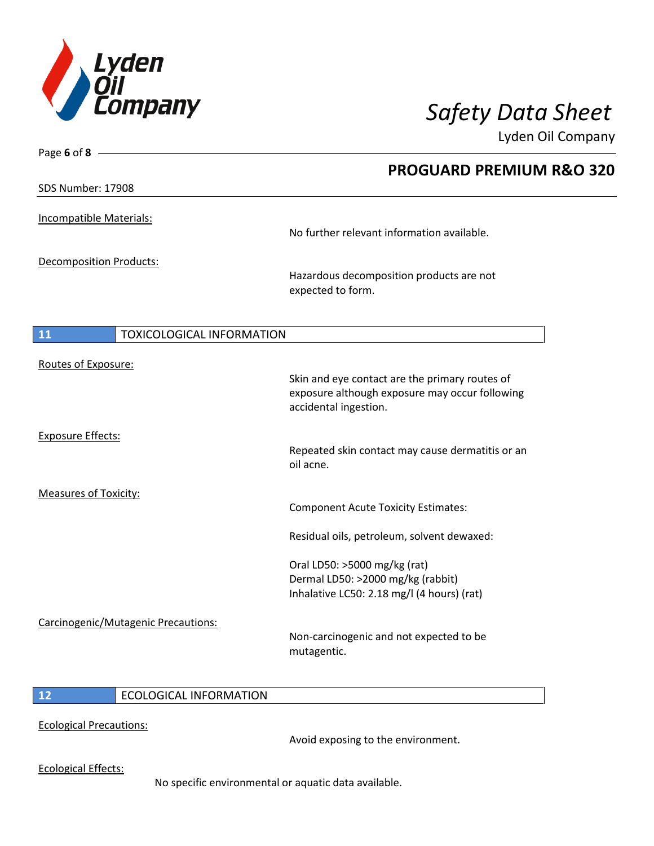

Lyden Oil Company

| Page 6 of 8                            |                                                                                                                           |
|----------------------------------------|---------------------------------------------------------------------------------------------------------------------------|
|                                        | <b>PROGUARD PREMIUM R&amp;O 320</b>                                                                                       |
| SDS Number: 17908                      |                                                                                                                           |
| Incompatible Materials:                |                                                                                                                           |
|                                        | No further relevant information available.                                                                                |
| <b>Decomposition Products:</b>         |                                                                                                                           |
|                                        | Hazardous decomposition products are not<br>expected to form.                                                             |
|                                        |                                                                                                                           |
| <b>TOXICOLOGICAL INFORMATION</b><br>11 |                                                                                                                           |
| Routes of Exposure:                    | Skin and eye contact are the primary routes of<br>exposure although exposure may occur following<br>accidental ingestion. |
| <b>Exposure Effects:</b>               | Repeated skin contact may cause dermatitis or an<br>oil acne.                                                             |
| Measures of Toxicity:                  | <b>Component Acute Toxicity Estimates:</b>                                                                                |
|                                        | Residual oils, petroleum, solvent dewaxed:                                                                                |
|                                        | Oral LD50: >5000 mg/kg (rat)<br>Dermal LD50: >2000 mg/kg (rabbit)<br>Inhalative LC50: 2.18 mg/l (4 hours) (rat)           |
| Carcinogenic/Mutagenic Precautions:    | Non-carcinogenic and not expected to be<br>mutagentic.                                                                    |

#### **12** ECOLOGICAL INFORMATION

Ecological Precautions:

Avoid exposing to the environment.

Ecological Effects:

No specific environmental or aquatic data available.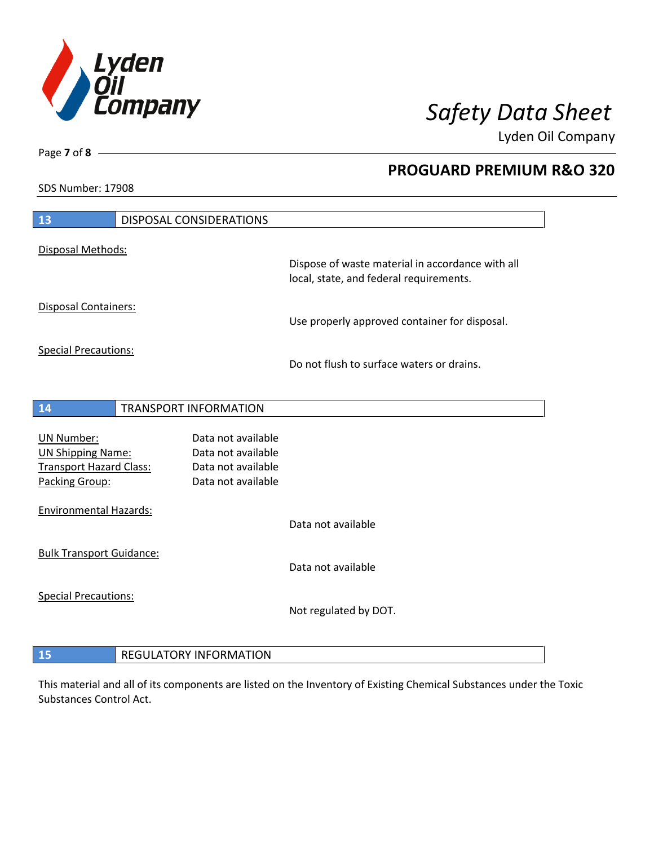

**PROGUARD PREMIUM R&O 320** 

Lyden Oil Company

SDS Number: 17908

Page **7** of **8**

 $\overline{\phantom{a}}$ 

| 13                                                                                                | <b>DISPOSAL CONSIDERATIONS</b> |                                                                                      |                                                                                             |
|---------------------------------------------------------------------------------------------------|--------------------------------|--------------------------------------------------------------------------------------|---------------------------------------------------------------------------------------------|
| Disposal Methods:                                                                                 |                                |                                                                                      |                                                                                             |
|                                                                                                   |                                |                                                                                      | Dispose of waste material in accordance with all<br>local, state, and federal requirements. |
| <b>Disposal Containers:</b>                                                                       |                                |                                                                                      | Use properly approved container for disposal.                                               |
| <b>Special Precautions:</b>                                                                       |                                |                                                                                      | Do not flush to surface waters or drains.                                                   |
| 14                                                                                                | <b>TRANSPORT INFORMATION</b>   |                                                                                      |                                                                                             |
| <b>UN Number:</b><br><b>UN Shipping Name:</b><br><b>Transport Hazard Class:</b><br>Packing Group: |                                | Data not available<br>Data not available<br>Data not available<br>Data not available |                                                                                             |
| <b>Environmental Hazards:</b>                                                                     |                                |                                                                                      | Data not available                                                                          |
| <b>Bulk Transport Guidance:</b>                                                                   |                                |                                                                                      | Data not available                                                                          |
| <b>Special Precautions:</b>                                                                       |                                |                                                                                      | Not regulated by DOT.                                                                       |
| 15                                                                                                | <b>REGULATORY INFORMATION</b>  |                                                                                      |                                                                                             |

This material and all of its components are listed on the Inventory of Existing Chemical Substances under the Toxic Substances Control Act.